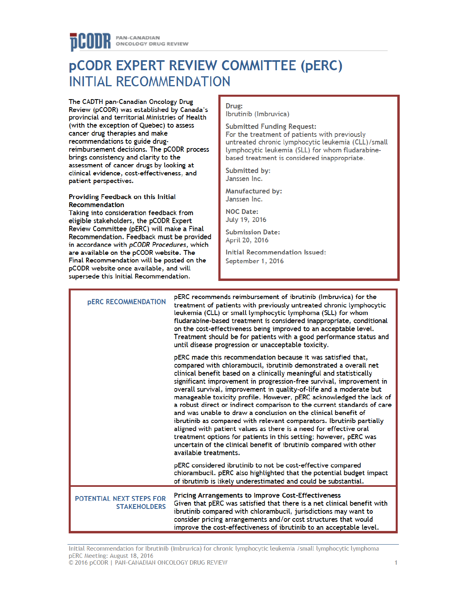# **PCODR EXPERT REVIEW COMMITTEE (PERC) INITIAL RECOMMENDATION**

The CADTH pan-Canadian Oncology Drug Review (pCODR) was established by Canada's provincial and territorial Ministries of Health (with the exception of Quebec) to assess cancer drug therapies and make recommendations to guide drugreimbursement decisions. The pCODR process brings consistency and clarity to the assessment of cancer drugs by looking at clinical evidence, cost-effectiveness, and patient perspectives.

#### Providing Feedback on this Initial Recommendation

Taking into consideration feedback from eligible stakeholders, the pCODR Expert Review Committee (pERC) will make a Final Recommendation. Feedback must be provided in accordance with pCODR Procedures, which are available on the pCODR website. The Final Recommendation will be posted on the pCODR website once available, and will supersede this Initial Recommendation.

#### Drug:

Ibrutinib (Imbruvica)

**Submitted Funding Request:** 

For the treatment of patients with previously untreated chronic lymphocytic leukemia (CLL)/small lymphocytic leukemia (SLL) for whom fludarabinebased treatment is considered inappropriate.

1

Submitted by: Janssen Inc.

**Manufactured by:** Janssen Inc.

**NOC Date:** July 19, 2016

**Submission Date:** April 20, 2016

**Initial Recommendation Issued:** September 1, 2016

| <b>PERC RECOMMENDATION</b>                      | pERC recommends reimbursement of ibrutinib (Imbruvica) for the<br>treatment of patients with previously untreated chronic lymphocytic<br>leukemia (CLL) or small lymphocytic lymphoma (SLL) for whom<br>fludarabine-based treatment is considered inappropriate, conditional<br>on the cost-effectiveness being improved to an acceptable level.<br>Treatment should be for patients with a good performance status and<br>until disease progression or unacceptable toxicity.                                                                                                                                                                                                                                                                                                                                                                                                              |
|-------------------------------------------------|---------------------------------------------------------------------------------------------------------------------------------------------------------------------------------------------------------------------------------------------------------------------------------------------------------------------------------------------------------------------------------------------------------------------------------------------------------------------------------------------------------------------------------------------------------------------------------------------------------------------------------------------------------------------------------------------------------------------------------------------------------------------------------------------------------------------------------------------------------------------------------------------|
|                                                 | pERC made this recommendation because it was satisfied that,<br>compared with chlorambucil, ibrutinib demonstrated a overall net<br>clinical benefit based on a clinically meaningful and statistically<br>significant improvement in progression-free survival, improvement in<br>overall survival, improvement in quality-of-life and a moderate but<br>manageable toxicity profile. However, pERC acknowledged the lack of<br>a robust direct or indirect comparison to the current standards of care<br>and was unable to draw a conclusion on the clinical benefit of<br>ibrutinib as compared with relevant comparators. Ibrutinib partially<br>aligned with patient values as there is a need for effective oral<br>treatment options for patients in this setting; however, pERC was<br>uncertain of the clinical benefit of ibrutinib compared with other<br>available treatments. |
|                                                 | pERC considered ibrutinib to not be cost-effective compared<br>chlorambucil. pERC also highlighted that the potential budget impact<br>of ibrutinib is likely underestimated and could be substantial.                                                                                                                                                                                                                                                                                                                                                                                                                                                                                                                                                                                                                                                                                      |
| POTENTIAL NEXT STEPS FOR<br><b>STAKEHOLDERS</b> | <b>Pricing Arrangements to Improve Cost-Effectiveness</b><br>Given that pERC was satisfied that there is a net clinical benefit with<br>ibrutinib compared with chlorambucil, jurisdictions may want to<br>consider pricing arrangements and/or cost structures that would<br>improve the cost-effectiveness of ibrutinib to an acceptable level.                                                                                                                                                                                                                                                                                                                                                                                                                                                                                                                                           |

Initial Recommendation for Ibrutinib (Imbruvica) for chronic lymphocytic leukemia /small lymphocytic lymphoma pERC Meeting: August 18, 2016 © 2016 pCODR | PAN-CANADIAN ONCOLOGY DRUG REVIEW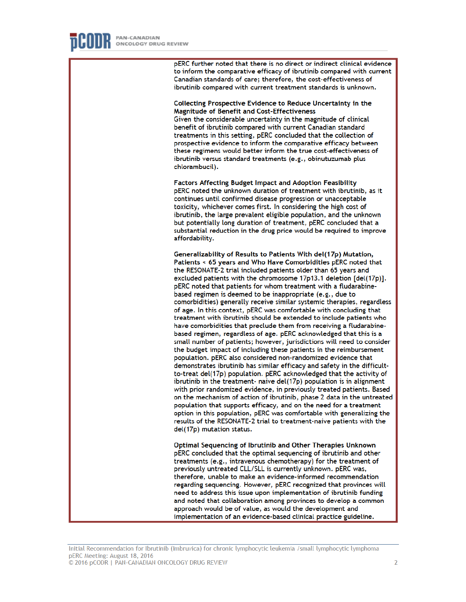pERC further noted that there is no direct or indirect clinical evidence to inform the comparative efficacy of ibrutinib compared with current Canadian standards of care; therefore, the cost-effectiveness of ibrutinib compared with current treatment standards is unknown.

Collecting Prospective Evidence to Reduce Uncertainty in the **Magnitude of Benefit and Cost-Effectiveness** 

Given the considerable uncertainty in the magnitude of clinical benefit of ibrutinib compared with current Canadian standard treatments in this setting, pERC concluded that the collection of prospective evidence to inform the comparative efficacy between these regimens would better inform the true cost-effectiveness of ibrutinib versus standard treatments (e.g., obinutuzumab plus chlorambucil).

**Factors Affecting Budget Impact and Adoption Feasibility** pERC noted the unknown duration of treatment with ibrutinib, as it continues until confirmed disease progression or unacceptable toxicity, whichever comes first. In considering the high cost of ibrutinib, the large prevalent eligible population, and the unknown but potentially long duration of treatment, pERC concluded that a substantial reduction in the drug price would be required to improve affordability.

Generalizability of Results to Patients With del(17p) Mutation, Patients < 65 years and Who Have Comorbidities pERC noted that the RESONATE-2 trial included patients older than 65 years and excluded patients with the chromosome 17p13.1 deletion [del(17p)]. pERC noted that patients for whom treatment with a fludarabinebased regimen is deemed to be inappropriate (e.g., due to comorbidities) generally receive similar systemic therapies, regardless of age. In this context, pERC was comfortable with concluding that treatment with ibrutinib should be extended to include patients who have comorbidities that preclude them from receiving a fludarabinebased regimen, regardless of age. pERC acknowledged that this is a small number of patients; however, jurisdictions will need to consider the budget impact of including these patients in the reimbursement population. pERC also considered non-randomized evidence that demonstrates ibrutinib has similar efficacy and safety in the difficultto-treat del(17p) population, pERC acknowledged that the activity of ibrutinib in the treatment- naive del(17p) population is in alignment with prior randomized evidence, in previously treated patients. Based on the mechanism of action of ibrutinib, phase 2 data in the untreated population that supports efficacy, and on the need for a treatment option in this population, pERC was comfortable with generalizing the results of the RESONATE-2 trial to treatment-naive patients with the del(17p) mutation status.

Optimal Sequencing of Ibrutinib and Other Therapies Unknown pERC concluded that the optimal sequencing of ibrutinib and other treatments (e.g., intravenous chemotherapy) for the treatment of previously untreated CLL/SLL is currently unknown. pERC was, therefore, unable to make an evidence-informed recommendation regarding sequencing. However, pERC recognized that provinces will need to address this issue upon implementation of ibrutinib funding and noted that collaboration among provinces to develop a common approach would be of value, as would the development and implementation of an evidence-based clinical practice guideline.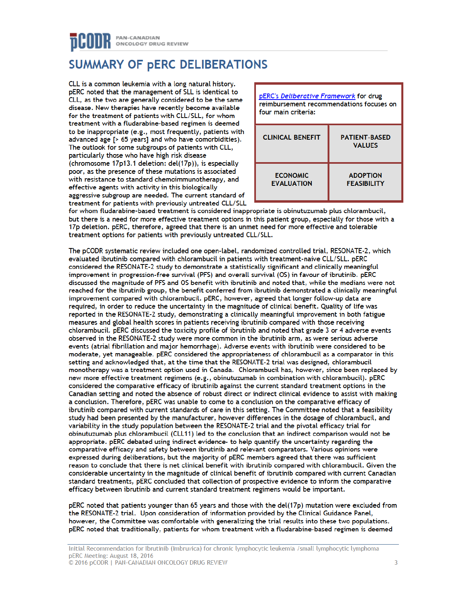## PAN-CANADIAN ONCOLOGY DRUG REVIEW

## **SUMMARY OF PERC DELIBERATIONS**

CLL is a common leukemia with a long natural history. pERC noted that the management of SLL is identical to CLL, as the two are generally considered to be the same disease. New therapies have recently become available for the treatment of patients with CLL/SLL, for whom treatment with a fludarabine-based regimen is deemed to be inappropriate (e.g., most frequently, patients with advanced age [> 65 years] and who have comorbidities). The outlook for some subgroups of patients with CLL, particularly those who have high risk disease (chromosome 17p13.1 deletion: del(17p)), is especially poor, as the presence of these mutations is associated with resistance to standard chemoimmunotherapy, and effective agents with activity in this biologically aggressive subgroup are needed. The current standard of treatment for patients with previously untreated CLL/SLL



for whom fludarabine-based treatment is considered inappropriate is obinutuzumab plus chlorambucil, but there is a need for more effective treatment options in this patient group, especially for those with a 17p deletion. pERC, therefore, agreed that there is an unmet need for more effective and tolerable treatment options for patients with previously untreated CLL/SLL.

The pCODR systematic review included one open-label, randomized controlled trial, RESONATE-2, which evaluated ibrutinib compared with chlorambucil in patients with treatment-naive CLL/SLL. pERC considered the RESONATE-2 study to demonstrate a statistically significant and clinically meaningful improvement in progression-free survival (PFS) and overall survival (OS) in favour of ibrutinib. pERC discussed the magnitude of PFS and OS benefit with ibrutinib and noted that, while the medians were not reached for the ibrutinib group, the benefit conferred from ibrutinib demonstrated a clinically meaningful improvement compared with chlorambucil. pERC, however, agreed that longer follow-up data are required, in order to reduce the uncertainty in the magnitude of clinical benefit. Quality of life was reported in the RESONATE-2 study, demonstrating a clinically meaningful improvement in both fatigue measures and global health scores in patients receiving ibrutinib compared with those receiving chlorambucil. pERC discussed the toxicity profile of ibrutinib and noted that grade 3 or 4 adverse events observed in the RESONATE-2 study were more common in the ibrutinib arm, as were serious adverse events (atrial fibrillation and major hemorrhage). Adverse events with ibrutinib were considered to be moderate, yet manageable. pERC considered the appropriateness of chlorambucil as a comparator in this setting and acknowledged that, at the time that the RESONATE-2 trial was designed, chlorambucil monotherapy was a treatment option used in Canada. Chlorambucil has, however, since been replaced by new more effective treatment regimens (e.g., obinutuzumab in combination with chlorambucil). pERC considered the comparative efficacy of ibrutinib against the current standard treatment options in the Canadian setting and noted the absence of robust direct or indirect clinical evidence to assist with making a conclusion. Therefore, pERC was unable to come to a conclusion on the comparative efficacy of ibrutinib compared with current standards of care in this setting. The Committee noted that a feasibility study had been presented by the manufacturer, however differences in the dosage of chlorambucil, and variability in the study population between the RESONATE-2 trial and the pivotal efficacy trial for obinutuzumab plus chlorambucil (CLL11) led to the conclusion that an indirect comparison would not be appropriate. pERC debated using indirect evidence- to help quantify the uncertainty regarding the comparative efficacy and safety between ibrutinib and relevant comparators. Various opinions were expressed during deliberations, but the majority of pERC members agreed that there was sufficient reason to conclude that there is net clinical benefit with ibrutinib compared with chlorambucil. Given the considerable uncertainty in the magnitude of clinical benefit of ibrutinib compared with current Canadian standard treatments, pERC concluded that collection of prospective evidence to inform the comparative efficacy between ibrutinib and current standard treatment regimens would be important.

pERC noted that patients younger than 65 years and those with the del(17p) mutation were excluded from the RESONATE-2 trial. Upon consideration of information provided by the Clinical Guidance Panel, however, the Committee was comfortable with generalizing the trial results into these two populations. pERC noted that traditionally, patients for whom treatment with a fludarabine-based regimen is deemed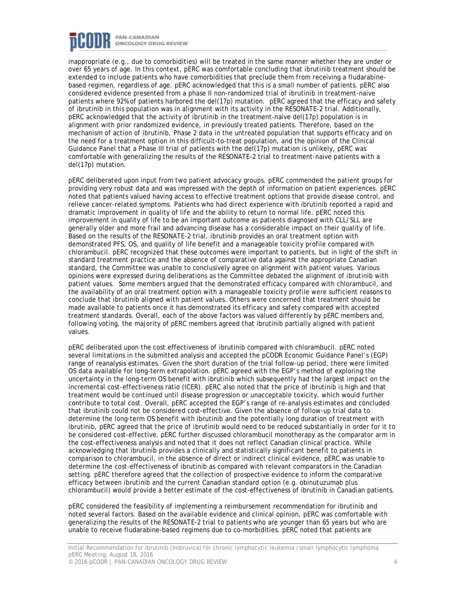

inappropriate (e.g., due to comorbidities) will be treated in the same manner whether they are under or over 65 years of age. In this context, pERC was comfortable concluding that ibrutinib treatment should be extended to include patients who have comorbidities that preclude them from receiving a fludarabinebased regimen, regardless of age. pERC acknowledged that this is a small number of patients. pERC also considered evidence presented from a phase II non-randomized trial of ibrutinib in treatment-naive patients where 92% of patients harbored the del(17p) mutation. pERC agreed that the efficacy and safety of ibrutinib in this population was in alignment with its activity in the RESONATE-2 trial. Additionally, pERC acknowledged that the activity of ibrutinib in the treatment-naive del(17p) population is in alignment with prior randomized evidence, in previously treated patients. Therefore, based on the mechanism of action of ibrutinib, Phase 2 data in the untreated population that supports efficacy and on the need for a treatment option in this difficult-to-treat population, and the opinion of the Clinical Guidance Panel that a Phase III trial of patients with the del(17p) mutation is unlikely, pERC was comfortable with generalizing the results of the RESONATE-2 trial to treatment-naive patients with a del(17p) mutation.

pERC deliberated upon input from two patient advocacy groups. pERC commended the patient groups for providing very robust data and was impressed with the depth of information on patient experiences. pERC noted that patients valued having access to effective treatment options that provide disease control, and relieve cancer-related symptoms. Patients who had direct experience with ibrutinib reported a rapid and dramatic improvement in quality of life and the ability to return to normal life. pERC noted this improvement in quality of life to be an important outcome as patients diagnosed with CLL/SLL are generally older and more frail and advancing disease has a considerable impact on their quality of life. Based on the results of the RESONATE-2 trial, ibrutinib provides an oral treatment option with demonstrated PFS, OS, and quality of life benefit and a manageable toxicity profile compared with chlorambucil. pERC recognized that these outcomes were important to patients, but in light of the shift in standard treatment practice and the absence of comparative data against the appropriate Canadian standard, the Committee was unable to conclusively agree on alignment with patient values. Various opinions were expressed during deliberations as the Committee debated the alignment of ibrutinib with patient values. Some members argued that the demonstrated efficacy compared with chlorambucil, and the availability of an oral treatment option with a manageable toxicity profile were sufficient reasons to conclude that ibrutinib aligned with patient values. Others were concerned that treatment should be made available to patients once it has demonstrated its efficacy and safety compared with accepted treatment standards. Overall, each of the above factors was valued differently by pERC members and, following voting, the majority of pERC members agreed that ibrutinib partially aligned with patient values.

pERC deliberated upon the cost effectiveness of ibrutinib compared with chlorambucil. pERC noted several limitations in the submitted analysis and accepted the pCODR Economic Guidance Panel's (EGP) range of reanalysis estimates. Given the short duration of the trial follow-up period, there were limited OS data available for long-term extrapolation. pERC agreed with the EGP's method of exploring the uncertainty in the long-term OS benefit with ibrutinib which subsequently had the largest impact on the incremental cost-effectiveness ratio (ICER). pERC also noted that the price of ibrutinib is high and that treatment would be continued until disease progression or unacceptable toxicity, which would further contribute to total cost. Overall, pERC accepted the EGP's range of re-analysis estimates and concluded that ibrutinib could not be considered cost-effective. Given the absence of follow-up trial data to determine the long-term OS benefit with ibrutinib and the potentially long duration of treatment with ibrutinib, pERC agreed that the price of ibrutinib would need to be reduced substantially in order for it to be considered cost-effective. pERC further discussed chlorambucil monotherapy as the comparator arm in the cost-effectiveness analysis and noted that it does not reflect Canadian clinical practice. While acknowledging that ibrutinib provides a clinically and statistically significant benefit to patients in comparison to chlorambucil, in the absence of direct or indirect clinical evidence, pERC was unable to determine the cost-effectiveness of ibrutinib as compared with relevant comparators in the Canadian setting. pERC therefore agreed that the collection of prospective evidence to inform the comparative efficacy between ibrutinib and the current Canadian standard option (e.g. obinutuzumab plus chlorambucil) would provide a better estimate of the cost-effectiveness of ibrutinib in Canadian patients.

pERC considered the feasibility of implementing a reimbursement recommendation for ibrutinib and noted several factors. Based on the available evidence and clinical opinion, pERC was comfortable with generalizing the results of the RESONATE-2 trial to patients who are younger than 65 years but who are unable to receive fludarabine-based regimens due to co-morbidities. pERC noted that patients are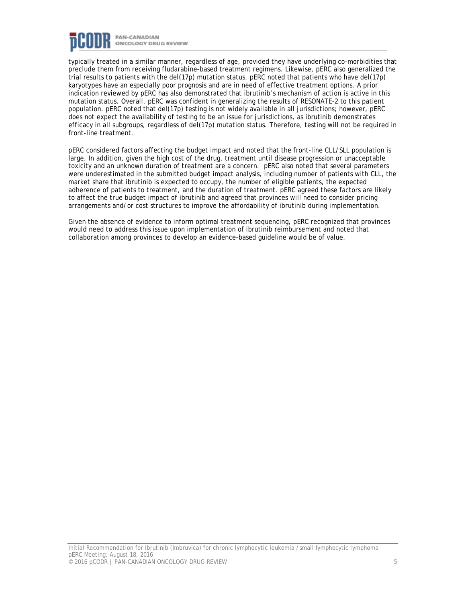

typically treated in a similar manner, regardless of age, provided they have underlying co-morbidities that preclude them from receiving fludarabine-based treatment regimens. Likewise, pERC also generalized the trial results to patients with the del(17p) mutation status. pERC noted that patients who have del(17p) karyotypes have an especially poor prognosis and are in need of effective treatment options. A prior indication reviewed by pERC has also demonstrated that ibrutinib's mechanism of action is active in this mutation status. Overall, pERC was confident in generalizing the results of RESONATE-2 to this patient population. pERC noted that del(17p) testing is not widely available in all jurisdictions; however, pERC does not expect the availability of testing to be an issue for jurisdictions, as ibrutinib demonstrates efficacy in all subgroups, regardless of del(17p) mutation status. Therefore, testing will not be required in front-line treatment.

pERC considered factors affecting the budget impact and noted that the front-line CLL/SLL population is large. In addition, given the high cost of the drug, treatment until disease progression or unacceptable toxicity and an unknown duration of treatment are a concern. pERC also noted that several parameters were underestimated in the submitted budget impact analysis, including number of patients with CLL, the market share that ibrutinib is expected to occupy, the number of eligible patients, the expected adherence of patients to treatment, and the duration of treatment. pERC agreed these factors are likely to affect the true budget impact of ibrutinib and agreed that provinces will need to consider pricing arrangements and/or cost structures to improve the affordability of ibrutinib during implementation.

Given the absence of evidence to inform optimal treatment sequencing, pERC recognized that provinces would need to address this issue upon implementation of ibrutinib reimbursement and noted that collaboration among provinces to develop an evidence-based guideline would be of value.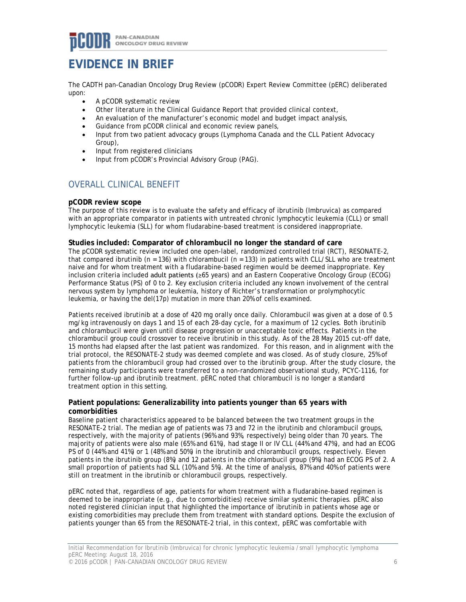## **EVIDENCE IN BRIEF**

The CADTH pan-Canadian Oncology Drug Review (pCODR) Expert Review Committee (pERC) deliberated upon:

- A pCODR systematic review
- Other literature in the Clinical Guidance Report that provided clinical context,
- An evaluation of the manufacturer's economic model and budget impact analysis,
- Guidance from pCODR clinical and economic review panels,
- Input from two patient advocacy groups (Lymphoma Canada and the CLL Patient Advocacy Group),
- Input from registered clinicians
- Input from pCODR's Provincial Advisory Group (PAG).

### OVERALL CLINICAL BENEFIT

#### **pCODR review scope**

The purpose of this review is to evaluate the safety and efficacy of ibrutinib (Imbruvica) as compared with an appropriate comparator in patients with untreated chronic lymphocytic leukemia (CLL) or small lymphocytic leukemia (SLL) for whom fludarabine-based treatment is considered inappropriate.

#### **Studies included: Comparator of chlorambucil no longer the standard of care**

The pCODR systematic review included one open-label, randomized controlled trial (RCT), RESONATE-2, that compared ibrutinib ( $n = 136$ ) with chlorambucil ( $n = 133$ ) in patients with CLL/SLL who are treatment naive and for whom treatment with a fludarabine-based regimen would be deemed inappropriate. Key inclusion criteria included adult patients (≥65 years) and an Eastern Cooperative Oncology Group (ECOG) Performance Status (PS) of 0 to 2. Key exclusion criteria included any known involvement of the central nervous system by lymphoma or leukemia, history of Richter's transformation or prolymphocytic leukemia, or having the del(17p) mutation in more than 20% of cells examined.

Patients received ibrutinib at a dose of 420 mg orally once daily. Chlorambucil was given at a dose of 0.5 mg/kg intravenously on days 1 and 15 of each 28-day cycle, for a maximum of 12 cycles. Both ibrutinib and chlorambucil were given until disease progression or unacceptable toxic effects. Patients in the chlorambucil group could crossover to receive ibrutinib in this study. As of the 28 May 2015 cut-off date, 15 months had elapsed after the last patient was randomized. For this reason, and in alignment with the trial protocol, the RESONATE-2 study was deemed complete and was closed. As of study closure, 25% of patients from the chlorambucil group had crossed over to the ibrutinib group. After the study closure, the remaining study participants were transferred to a non-randomized observational study, PCYC-1116, for further follow-up and ibrutinib treatment. pERC noted that chlorambucil is no longer a standard treatment option in this setting.

#### **Patient populations: Generalizability into patients younger than 65 years with comorbidities**

Baseline patient characteristics appeared to be balanced between the two treatment groups in the RESONATE-2 trial. The median age of patients was 73 and 72 in the ibrutinib and chlorambucil groups, respectively, with the majority of patients (96% and 93%, respectively) being older than 70 years. The majority of patients were also male (65% and 61%), had stage II or IV CLL (44% and 47%), and had an ECOG PS of 0 (44% and 41%) or 1 (48% and 50%) in the ibrutinib and chlorambucil groups, respectively. Eleven patients in the ibrutinib group (8%) and 12 patients in the chlorambucil group (9%) had an ECOG PS of 2. A small proportion of patients had SLL (10% and 5%). At the time of analysis, 87% and 40% of patients were still on treatment in the ibrutinib or chlorambucil groups, respectively.

pERC noted that, regardless of age, patients for whom treatment with a fludarabine-based regimen is deemed to be inappropriate (e.g., due to comorbidities) receive similar systemic therapies. pERC also noted registered clinician input that highlighted the importance of ibrutinib in patients whose age or existing comorbidities may preclude them from treatment with standard options. Despite the exclusion of patients younger than 65 from the RESONATE-2 trial, in this context, pERC was comfortable with

Initial Recommendation for Ibrutinib (Imbruvica) for chronic lymphocytic leukemia /small lymphocytic lymphoma pERC Meeting: August 18, 2016 © 2016 pCODR | PAN-CANADIAN ONCOLOGY DRUG REVIEW 6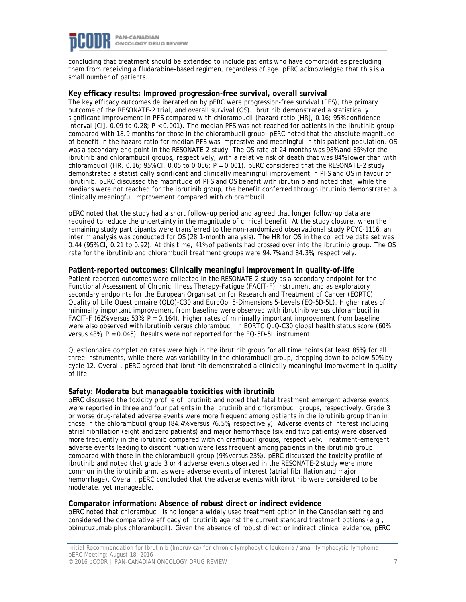

concluding that treatment should be extended to include patients who have comorbidities precluding them from receiving a fludarabine-based regimen, regardless of age. pERC acknowledged that this is a small number of patients.

#### **Key efficacy results: Improved progression-free survival, overall survival**

The key efficacy outcomes deliberated on by pERC were progression-free survival (PFS), the primary outcome of the RESONATE-2 trial, and overall survival (OS). Ibrutinib demonstrated a statistically significant improvement in PFS compared with chlorambucil (hazard ratio [HR], 0.16; 95% confidence interval [CI], 0.09 to 0.28; *P* < 0.001). The median PFS was not reached for patients in the ibrutinib group compared with 18.9 months for those in the chlorambucil group. pERC noted that the absolute magnitude of benefit in the hazard ratio for median PFS was impressive and meaningful in this patient population. OS was a secondary end point in the RESONATE-2 study. The OS rate at 24 months was 98% and 85% for the ibrutinib and chlorambucil groups, respectively, with a relative risk of death that was 84% lower than with chlorambucil (HR, 0.16; 95% CI, 0.05 to 0.056; *P* = 0.001). pERC considered that the RESONATE-2 study demonstrated a statistically significant and clinically meaningful improvement in PFS and OS in favour of ibrutinib. pERC discussed the magnitude of PFS and OS benefit with ibrutinib and noted that, while the medians were not reached for the ibrutinib group, the benefit conferred through ibrutinib demonstrated a clinically meaningful improvement compared with chlorambucil.

pERC noted that the study had a short follow-up period and agreed that longer follow-up data are required to reduce the uncertainty in the magnitude of clinical benefit. At the study closure, when the remaining study participants were transferred to the non-randomized observational study PCYC-1116, an interim analysis was conducted for OS (28.1-month analysis). The HR for OS in the collective data set was 0.44 (95% CI, 0.21 to 0.92). At this time, 41% of patients had crossed over into the ibrutinib group. The OS rate for the ibrutinib and chlorambucil treatment groups were 94.7% and 84.3%, respectively.

#### **Patient-reported outcomes: Clinically meaningful improvement in quality-of-life**

Patient reported outcomes were collected in the RESONATE-2 study as a secondary endpoint for the Functional Assessment of Chronic Illness Therapy–Fatigue (FACIT-F) instrument and as exploratory secondary endpoints for the European Organisation for Research and Treatment of Cancer (EORTC) Quality of Life Questionnaire (QLQ)-C30 and EuroQol 5-Dimensions 5-Levels (EQ-5D-5L). Higher rates of minimally important improvement from baseline were observed with ibrutinib versus chlorambucil in FACIT-F (62% versus 53%; *P* = 0.164). Higher rates of minimally important improvement from baseline were also observed with ibrutinib versus chlorambucil in EORTC QLQ-C30 global health status score (60% versus 48%; *P* = 0.045). Results were not reported for the EQ-5D-5L instrument.

Questionnaire completion rates were high in the ibrutinib group for all time points (at least 85%) for all three instruments, while there was variability in the chlorambucil group, dropping down to below 50% by cycle 12. Overall, pERC agreed that ibrutinib demonstrated a clinically meaningful improvement in quality of life.

#### **Safety: Moderate but manageable toxicities with ibrutinib**

pERC discussed the toxicity profile of ibrutinib and noted that fatal treatment emergent adverse events were reported in three and four patients in the ibrutinib and chlorambucil groups, respectively. Grade 3 or worse drug-related adverse events were more frequent among patients in the ibrutinib group than in those in the chlorambucil group (84.4% versus 76.5%, respectively). Adverse events of interest including atrial fibrillation (eight and zero patients) and major hemorrhage (six and two patients) were observed more frequently in the ibrutinib compared with chlorambucil groups, respectively. Treatment-emergent adverse events leading to discontinuation were less frequent among patients in the ibrutinib group compared with those in the chlorambucil group (9% versus 23%). pERC discussed the toxicity profile of ibrutinib and noted that grade 3 or 4 adverse events observed in the RESONATE-2 study were more common in the ibrutinib arm, as were adverse events of interest (atrial fibrillation and major hemorrhage). Overall, pERC concluded that the adverse events with ibrutinib were considered to be moderate, yet manageable.

#### **Comparator information: Absence of robust direct or indirect evidence**

pERC noted that chlorambucil is no longer a widely used treatment option in the Canadian setting and considered the comparative efficacy of ibrutinib against the current standard treatment options (e.g., obinutuzumab plus chlorambucil). Given the absence of robust direct or indirect clinical evidence, pERC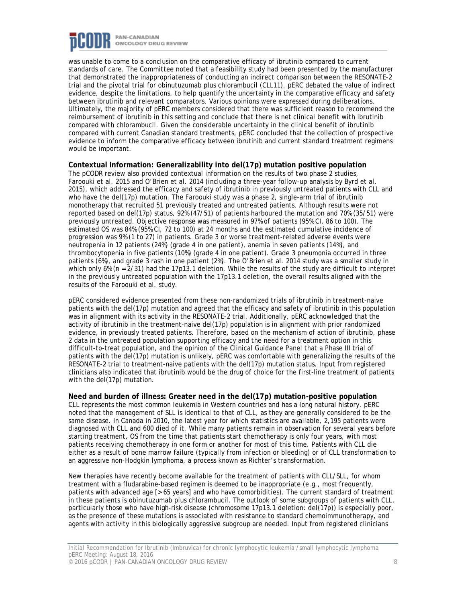

was unable to come to a conclusion on the comparative efficacy of ibrutinib compared to current standards of care. The Committee noted that a feasibility study had been presented by the manufacturer that demonstrated the inappropriateness of conducting an indirect comparison between the RESONATE-2 trial and the pivotal trial for obinutuzumab plus chlorambucil (CLL11). pERC debated the value of indirect evidence, despite the limitations, to help quantify the uncertainty in the comparative efficacy and safety between ibrutinib and relevant comparators. Various opinions were expressed during deliberations. Ultimately, the majority of pERC members considered that there was sufficient reason to recommend the reimbursement of ibrutinib in this setting and conclude that there is net clinical benefit with ibrutinib compared with chlorambucil. Given the considerable uncertainty in the clinical benefit of ibrutinib compared with current Canadian standard treatments, pERC concluded that the collection of prospective evidence to inform the comparative efficacy between ibrutinib and current standard treatment regimens would be important.

#### **Contextual Information: Generalizability into del(17p) mutation positive population**

The pCODR review also provided contextual information on the results of two phase 2 studies, Faroouki et al. 2015 and O'Brien et al. 2014 (including a three-year follow-up analysis by Byrd et al. 2015), which addressed the efficacy and safety of ibrutinib in previously untreated patients with CLL and who have the del(17p) mutation. The Faroouki study was a phase 2, single-arm trial of ibrutinib monotherapy that recruited 51 previously treated and untreated patients. Although results were not reported based on del(17p) status, 92% (47/51) of patients harboured the mutation and 70% (35/51) were previously untreated. Objective response was measured in 97% of patients (95% CI, 86 to 100). The estimated OS was 84% (95% CI, 72 to 100) at 24 months and the estimated cumulative incidence of progression was 9% (1 to 27) in patients. Grade 3 or worse treatment-related adverse events were neutropenia in 12 patients (24%) (grade 4 in one patient), anemia in seven patients (14%), and thrombocytopenia in five patients (10%) (grade 4 in one patient). Grade 3 pneumonia occurred in three patients (6%), and grade 3 rash in one patient (2%). The O'Brien et al. 2014 study was a smaller study in which only 6% (n = 2/31) had the 17p13.1 deletion. While the results of the study are difficult to interpret in the previously untreated population with the 17p13.1 deletion, the overall results aligned with the results of the Faroouki et al. study.

pERC considered evidence presented from these non-randomized trials of ibrutinib in treatment-naive patients with the del(17p) mutation and agreed that the efficacy and safety of ibrutinib in this population was in alignment with its activity in the RESONATE-2 trial. Additionally, pERC acknowledged that the activity of ibrutinib in the treatment-naive del(17p) population is in alignment with prior randomized evidence, in previously treated patients. Therefore, based on the mechanism of action of ibrutinib, phase 2 data in the untreated population supporting efficacy and the need for a treatment option in this difficult-to-treat population, and the opinion of the Clinical Guidance Panel that a Phase III trial of patients with the del(17p) mutation is unlikely, pERC was comfortable with generalizing the results of the RESONATE-2 trial to treatment-naive patients with the del(17p) mutation status. Input from registered clinicians also indicated that ibrutinib would be the drug of choice for the first-line treatment of patients with the del(17p) mutation.

#### **Need and burden of illness: Greater need in the del(17p) mutation-positive population**

CLL represents the most common leukemia in Western countries and has a long natural history. pERC noted that the management of SLL is identical to that of CLL, as they are generally considered to be the same disease. In Canada in 2010, the latest year for which statistics are available, 2,195 patients were diagnosed with CLL and 600 died of it. While many patients remain in observation for several years before starting treatment, OS from the time that patients start chemotherapy is only four years, with most patients receiving chemotherapy in one form or another for most of this time. Patients with CLL die either as a result of bone marrow failure (typically from infection or bleeding) or of CLL transformation to an aggressive non-Hodgkin lymphoma, a process known as Richter's transformation.

New therapies have recently become available for the treatment of patients with CLL/SLL, for whom treatment with a fludarabine-based regimen is deemed to be inappropriate (e.g., most frequently, patients with advanced age [> 65 years] and who have comorbidities). The current standard of treatment in these patients is obinutuzumab plus chlorambucil. The outlook of some subgroups of patients with CLL, particularly those who have high-risk disease (chromosome 17p13.1 deletion: del(17p)) is especially poor, as the presence of these mutations is associated with resistance to standard chemoimmunotherapy, and agents with activity in this biologically aggressive subgroup are needed. Input from registered clinicians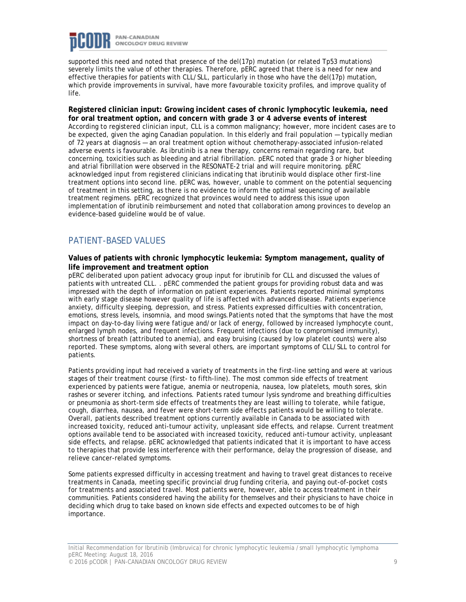

supported this need and noted that presence of the del(17p) mutation (or related Tp53 mutations) severely limits the value of other therapies. Therefore, pERC agreed that there is a need for new and effective therapies for patients with CLL/SLL, particularly in those who have the del(17p) mutation, which provide improvements in survival, have more favourable toxicity profiles, and improve quality of life.

**Registered clinician input: Growing incident cases of chronic lymphocytic leukemia, need for oral treatment option, and concern with grade 3 or 4 adverse events of interest** According to registered clinician input, CLL is a common malignancy; however, more incident cases are to be expected, given the aging Canadian population. In this elderly and frail population — typically median of 72 years at diagnosis — an oral treatment option without chemotherapy-associated infusion-related adverse events is favourable. As ibrutinib is a new therapy, concerns remain regarding rare, but concerning, toxicities such as bleeding and atrial fibrillation. pERC noted that grade 3 or higher bleeding and atrial fibrillation were observed in the RESONATE-2 trial and will require monitoring. pERC acknowledged input from registered clinicians indicating that ibrutinib would displace other first-line treatment options into second line. pERC was, however, unable to comment on the potential sequencing of treatment in this setting, as there is no evidence to inform the optimal sequencing of available treatment regimens. pERC recognized that provinces would need to address this issue upon implementation of ibrutinib reimbursement and noted that collaboration among provinces to develop an evidence-based guideline would be of value.

### PATIENT-BASED VALUES

#### **Values of patients with chronic lymphocytic leukemia: Symptom management, quality of life improvement and treatment option**

pERC deliberated upon patient advocacy group input for ibrutinib for CLL and discussed the values of patients with untreated CLL. . pERC commended the patient groups for providing robust data and was impressed with the depth of information on patient experiences. Patients reported minimal symptoms with early stage disease however quality of life is affected with advanced disease. Patients experience anxiety, difficulty sleeping, depression, and stress. Patients expressed difficulties with concentration, emotions, stress levels, insomnia, and mood swings.Patients noted that the symptoms that have the most impact on day-to-day living were fatigue and/or lack of energy, followed by increased lymphocyte count, enlarged lymph nodes, and frequent infections. Frequent infections (due to compromised immunity), shortness of breath (attributed to anemia), and easy bruising (caused by low platelet counts) were also reported. These symptoms, along with several others, are important symptoms of CLL/SLL to control for patients.

Patients providing input had received a variety of treatments in the first-line setting and were at various stages of their treatment course (first- to fifth-line). The most common side effects of treatment experienced by patients were fatigue, anemia or neutropenia, nausea, low platelets, mouth sores, skin rashes or severer itching, and infections. Patients rated tumour lysis syndrome and breathing difficulties or pneumonia as short-term side effects of treatments they are least willing to tolerate, while fatigue, cough, diarrhea, nausea, and fever were short-term side effects patients would be willing to tolerate. Overall, patients described treatment options currently available in Canada to be associated with increased toxicity, reduced anti-tumour activity, unpleasant side effects, and relapse. Current treatment options available tend to be associated with increased toxicity, reduced anti-tumour activity, unpleasant side effects, and relapse. pERC acknowledged that patients indicated that it is important to have access to therapies that provide less interference with their performance, delay the progression of disease, and relieve cancer-related symptoms.

Some patients expressed difficulty in accessing treatment and having to travel great distances to receive treatments in Canada, meeting specific provincial drug funding criteria, and paying out-of-pocket costs for treatments and associated travel. Most patients were, however, able to access treatment in their communities. Patients considered having the ability for themselves and their physicians to have choice in deciding which drug to take based on known side effects and expected outcomes to be of high importance.

Initial Recommendation for Ibrutinib (Imbruvica) for chronic lymphocytic leukemia /small lymphocytic lymphoma pERC Meeting: August 18, 2016 © 2016 pCODR | PAN-CANADIAN ONCOLOGY DRUG REVIEW 9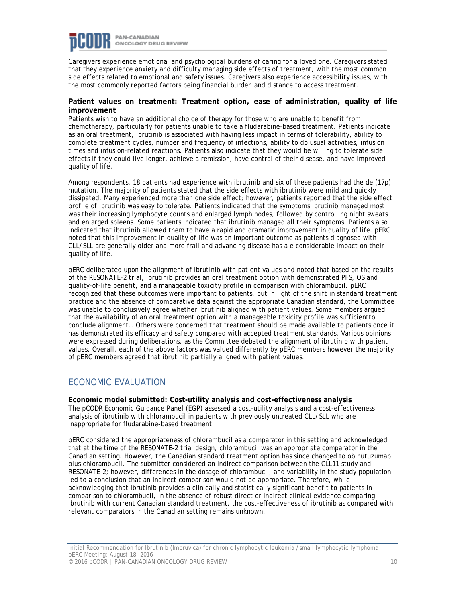

Caregivers experience emotional and psychological burdens of caring for a loved one. Caregivers stated that they experience anxiety and difficulty managing side effects of treatment, with the most common side effects related to emotional and safety issues. Caregivers also experience accessibility issues, with the most commonly reported factors being financial burden and distance to access treatment.

#### **Patient values on treatment: Treatment option, ease of administration, quality of life improvement**

Patients wish to have an additional choice of therapy for those who are unable to benefit from chemotherapy, particularly for patients unable to take a fludarabine-based treatment. Patients indicate as an oral treatment, ibrutinib is associated with having less impact in terms of tolerability, ability to complete treatment cycles, number and frequency of infections, ability to do usual activities, infusion times and infusion-related reactions. Patients also indicate that they would be willing to tolerate side effects if they could live longer, achieve a remission, have control of their disease, and have improved quality of life.

Among respondents, 18 patients had experience with ibrutinib and six of these patients had the del(17p) mutation. The majority of patients stated that the side effects with ibrutinib were mild and quickly dissipated. Many experienced more than one side effect; however, patients reported that the side effect profile of ibrutinib was easy to tolerate. Patients indicated that the symptoms ibrutinib managed most was their increasing lymphocyte counts and enlarged lymph nodes, followed by controlling night sweats and enlarged spleens. Some patients indicated that ibrutinib managed all their symptoms. Patients also indicated that ibrutinib allowed them to have a rapid and dramatic improvement in quality of life. pERC noted that this improvement in quality of life was an important outcome as patients diagnosed with CLL/SLL are generally older and more frail and advancing disease has a e considerable impact on their quality of life.

pERC deliberated upon the alignment of ibrutinib with patient values and noted that based on the results of the RESONATE-2 trial, ibrutinib provides an oral treatment option with demonstrated PFS, OS and quality-of-life benefit, and a manageable toxicity profile in comparison with chlorambucil. pERC recognized that these outcomes were important to patients, but in light of the shift in standard treatment practice and the absence of comparative data against the appropriate Canadian standard, the Committee was unable to conclusively agree whether ibrutinib aligned with patient values. Some members argued that the availability of an oral treatment option with a manageable toxicity profile was sufficientto conclude alignment.. Others were concerned that treatment should be made available to patients once it has demonstrated its efficacy and safety compared with accepted treatment standards. Various opinions were expressed during deliberations, as the Committee debated the alignment of ibrutinib with patient values. Overall, each of the above factors was valued differently by pERC members however the majority of pERC members agreed that ibrutinib partially aligned with patient values.

### ECONOMIC EVALUATION

**Economic model submitted: Cost-utility analysis and cost-effectiveness analysis** The pCODR Economic Guidance Panel (EGP) assessed a cost-utility analysis and a cost-effectiveness analysis of ibrutinib with chlorambucil in patients with previously untreated CLL/SLL who are inappropriate for fludarabine-based treatment.

pERC considered the appropriateness of chlorambucil as a comparator in this setting and acknowledged that at the time of the RESONATE-2 trial design, chlorambucil was an appropriate comparator in the Canadian setting. However, the Canadian standard treatment option has since changed to obinutuzumab plus chlorambucil. The submitter considered an indirect comparison between the CLL11 study and RESONATE-2; however, differences in the dosage of chlorambucil, and variability in the study population led to a conclusion that an indirect comparison would not be appropriate. Therefore, while acknowledging that ibrutinib provides a clinically and statistically significant benefit to patients in comparison to chlorambucil, in the absence of robust direct or indirect clinical evidence comparing ibrutinib with current Canadian standard treatment, the cost-effectiveness of ibrutinib as compared with relevant comparators in the Canadian setting remains unknown.

Initial Recommendation for Ibrutinib (Imbruvica) for chronic lymphocytic leukemia /small lymphocytic lymphoma pERC Meeting: August 18, 2016 © 2016 pCODR | PAN-CANADIAN ONCOLOGY DRUG REVIEW 10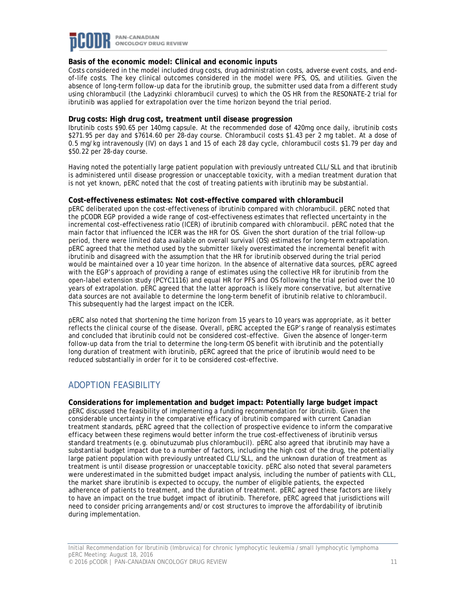

#### **Basis of the economic model: Clinical and economic inputs**

Costs considered in the model included drug costs, drug administration costs, adverse event costs, and endof-life costs. The key clinical outcomes considered in the model were PFS, OS, and utilities. Given the absence of long-term follow-up data for the ibrutinib group, the submitter used data from a different study using chlorambucil (the Ladyzinki chlorambucil curves) to which the OS HR from the RESONATE-2 trial for ibrutinib was applied for extrapolation over the time horizon beyond the trial period.

#### **Drug costs: High drug cost, treatment until disease progression**

Ibrutinib costs \$90.65 per 140mg capsule. At the recommended dose of 420mg once daily, ibrutinib costs \$271.95 per day and \$7614.60 per 28-day course. Chlorambucil costs \$1.43 per 2 mg tablet. At a dose of 0.5 mg/kg intravenously (IV) on days 1 and 15 of each 28 day cycle, chlorambucil costs \$1.79 per day and \$50.22 per 28-day course.

Having noted the potentially large patient population with previously untreated CLL/SLL and that ibrutinib is administered until disease progression or unacceptable toxicity, with a median treatment duration that is not yet known, pERC noted that the cost of treating patients with ibrutinib may be substantial.

#### **Cost-effectiveness estimates: Not cost-effective compared with chlorambucil**

pERC deliberated upon the cost-effectiveness of ibrutinib compared with chlorambucil. pERC noted that the pCODR EGP provided a wide range of cost-effectiveness estimates that reflected uncertainty in the incremental cost-effectiveness ratio (ICER) of ibrutinib compared with chlorambucil. pERC noted that the main factor that influenced the ICER was the HR for OS. Given the short duration of the trial follow-up period, there were limited data available on overall survival (OS) estimates for long-term extrapolation. pERC agreed that the method used by the submitter likely overestimated the incremental benefit with ibrutinib and disagreed with the assumption that the HR for ibrutinib observed during the trial period would be maintained over a 10 year time horizon. In the absence of alternative data sources, pERC agreed with the EGP's approach of providing a range of estimates using the collective HR for ibrutinib from the open-label extension study (PCYC1116) and equal HR for PFS and OS following the trial period over the 10 years of extrapolation. pERC agreed that the latter approach is likely more conservative, but alternative data sources are not available to determine the long-term benefit of ibrutinib relative to chlorambucil. This subsequently had the largest impact on the ICER.

pERC also noted that shortening the time horizon from 15 years to 10 years was appropriate, as it better reflects the clinical course of the disease. Overall, pERC accepted the EGP's range of reanalysis estimates and concluded that ibrutinib could not be considered cost-effective. Given the absence of longer-term follow-up data from the trial to determine the long-term OS benefit with ibrutinib and the potentially long duration of treatment with ibrutinib, pERC agreed that the price of ibrutinib would need to be reduced substantially in order for it to be considered cost-effective.

### ADOPTION FEASIBILITY

**Considerations for implementation and budget impact: Potentially large budget impact** pERC discussed the feasibility of implementing a funding recommendation for ibrutinib. Given the considerable uncertainty in the comparative efficacy of ibrutinib compared with current Canadian treatment standards, pERC agreed that the collection of prospective evidence to inform the comparative efficacy between these regimens would better inform the true cost-effectiveness of ibrutinib versus standard treatments (e.g. obinutuzumab plus chlorambucil). pERC also agreed that ibrutinib may have a substantial budget impact due to a number of factors, including the high cost of the drug, the potentially large patient population with previously untreated CLL/SLL, and the unknown duration of treatment as treatment is until disease progression or unacceptable toxicity. pERC also noted that several parameters were underestimated in the submitted budget impact analysis, including the number of patients with CLL, the market share ibrutinib is expected to occupy, the number of eligible patients, the expected adherence of patients to treatment, and the duration of treatment. pERC agreed these factors are likely to have an impact on the true budget impact of ibrutinib. Therefore, pERC agreed that jurisdictions will need to consider pricing arrangements and/or cost structures to improve the affordability of ibrutinib during implementation.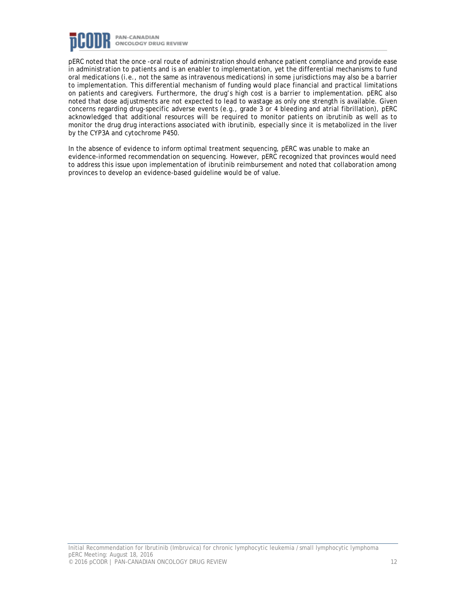

pERC noted that the once -oral route of administration should enhance patient compliance and provide ease in administration to patients and is an enabler to implementation, yet the differential mechanisms to fund oral medications (i.e., not the same as intravenous medications) in some jurisdictions may also be a barrier to implementation. This differential mechanism of funding would place financial and practical limitations on patients and caregivers. Furthermore, the drug's high cost is a barrier to implementation. pERC also noted that dose adjustments are not expected to lead to wastage as only one strength is available. Given concerns regarding drug-specific adverse events (e.g., grade 3 or 4 bleeding and atrial fibrillation), pERC acknowledged that additional resources will be required to monitor patients on ibrutinib as well as to monitor the drug drug interactions associated with ibrutinib, especially since it is metabolized in the liver by the CYP3A and cytochrome P450.

In the absence of evidence to inform optimal treatment sequencing, pERC was unable to make an evidence-informed recommendation on sequencing. However, pERC recognized that provinces would need to address this issue upon implementation of ibrutinib reimbursement and noted that collaboration among provinces to develop an evidence-based guideline would be of value.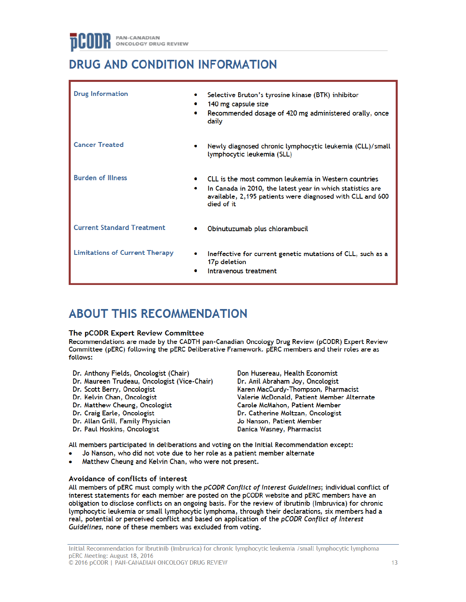## DRUG AND CONDITION INFORMATION

| <b>Drug Information</b>               |        | Selective Bruton's tyrosine kinase (BTK) inhibitor<br>140 mg capsule size<br>Recommended dosage of 420 mg administered orally, once<br>daily                                                  |
|---------------------------------------|--------|-----------------------------------------------------------------------------------------------------------------------------------------------------------------------------------------------|
| <b>Cancer Treated</b>                 |        | Newly diagnosed chronic lymphocytic leukemia (CLL)/small<br>lymphocytic leukemia (SLL)                                                                                                        |
| <b>Burden of Illness</b>              |        | CLL is the most common leukemia in Western countries<br>In Canada in 2010, the latest year in which statistics are<br>available, 2,195 patients were diagnosed with CLL and 600<br>died of it |
| <b>Current Standard Treatment</b>     |        | Obinutuzumab plus chlorambucil                                                                                                                                                                |
| <b>Limitations of Current Therapy</b> | ۰<br>۰ | Ineffective for current genetic mutations of CLL, such as a<br>17p deletion<br>Intravenous treatment                                                                                          |

## **ABOUT THIS RECOMMENDATION**

#### The pCODR Expert Review Committee

Recommendations are made by the CADTH pan-Canadian Oncology Drug Review (pCODR) Expert Review Committee (pERC) following the pERC Deliberative Framework. pERC members and their roles are as follows:

- Dr. Anthony Fields, Oncologist (Chair)
- Dr. Maureen Trudeau, Oncologist (Vice-Chair)
- Dr. Scott Berry, Oncologist
- Dr. Kelvin Chan, Oncologist
- Dr. Matthew Cheung, Oncologist
- Dr. Craig Earle, Oncologist
- Dr. Allan Grill, Family Physician
- Dr. Paul Hoskins, Oncologist

Don Husereau, Health Economist Dr. Anil Abraham Joy, Oncologist Karen MacCurdy-Thompson, Pharmacist Valerie McDonald, Patient Member Alternate Carole McMahon, Patient Member Dr. Catherine Moltzan, Oncologist Jo Nanson, Patient Member Danica Wasney, Pharmacist

All members participated in deliberations and voting on the Initial Recommendation except:

- Jo Nanson, who did not vote due to her role as a patient member alternate
- Matthew Cheung and Kelvin Chan, who were not present.

#### Avoidance of conflicts of interest

All members of pERC must comply with the pCODR Conflict of Interest Guidelines; individual conflict of interest statements for each member are posted on the pCODR website and pERC members have an obligation to disclose conflicts on an ongoing basis. For the review of ibrutinib (Imbruvica) for chronic lymphocytic leukemia or small lymphocytic lymphoma, through their declarations, six members had a real, potential or perceived conflict and based on application of the pCODR Conflict of Interest Guidelines, none of these members was excluded from voting.